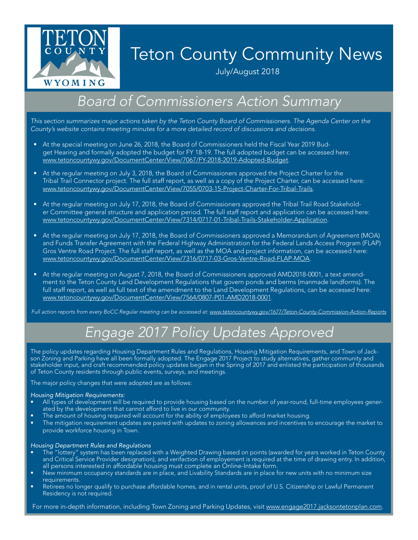

# Teton County Community News

July/August 2018

### *Board of Commissioners Action Summary*

*This section summarizes major actions taken by the Teton County Board of Commissioners. The Agenda Center on the County's website contains meeting minutes for a more detailed record of discussions and decisions.*

- At the special meeting on June 26, 2018, the Board of Commissioners held the Fiscal Year 2019 Budget Hearing and formally adopted the budget for FY 18-19. The full adopted budget can be accessed here: [www.tetoncountywy.gov/DocumentCenter/View/7067/FY-2018-2019-Adopted-Budget](http://www.tetoncountywy.gov/DocumentCenter/View/7067/FY-2018-2019-Adopted-Budget).
- At the regular meeting on July 3, 2018, the Board of Commissioners approved the Project Charter for the Tribal Trail Connector project. The full staff report, as well as a copy of the Project Charter, can be accessed here: [www.tetoncountywy.gov/DocumentCenter/View/7055/0703-15-Project-Charter-For-Tribal-Trails](http://www.tetoncountywy.gov/DocumentCenter/View/7055/0703-15-Project-Charter-For-Tribal-Trails).
- At the regular meeting on July 17, 2018, the Board of Commissioners approved the Tribal Trail Road Stakeholder Committee general structure and application period. The full staff report and application can be accessed here: [www.tetoncountywy.gov/DocumentCenter/View/7314/0717-01-Tribal-Trails-Stakeholder-Application.](http://www.tetoncountywy.gov/DocumentCenter/View/7314/0717-01-Tribal-Trails-Stakeholder-Application)
- At the regular meeting on July 17, 2018, the Board of Commissioners approved a Memorandum of Agreement (MOA) and Funds Transfer Agreement with the Federal Highway Administration for the Federal Lands Access Program (FLAP) Gros Ventre Road Project. The full staff report, as well as the MOA and project information, can be accessed here: [www.tetoncountywy.gov/DocumentCenter/View/7316/0717-03-Gros-Ventre-Road-FLAP-MOA.](http://www.tetoncountywy.gov/DocumentCenter/View/7316/0717-03-Gros-Ventre-Road-FLAP-MOA)
- At the regular meeting on August 7, 2018, the Board of Commissioners approved AMD2018-0001, a text amendment to the Teton County Land Development Regulations that govern ponds and berms (manmade landforms). The full staff report, as well as full text of the amendment to the Land Development Regulations, can be accessed here: [www.tetoncountywy.gov/DocumentCenter/View/7564/0807-P01-AMD2018-0001](http://www.tetoncountywy.gov/DocumentCenter/View/7564/0807-P01-AMD2018-0001).

*Full action reports from every BoCC Regular meeting can be accessed at: [www.tetoncountywy.gov/1677/Teton-County-Commission-Action-Reports](http://www.tetoncountywy.gov/1677/Teton-County-Commission-Action-Reports)*

# *Engage 2017 Policy Updates Approved*

The policy updates regarding Housing Department Rules and Regulations, Housing Mitigation Requirements, and Town of Jackson Zoning and Parking have all been formally adopted. The Engage 2017 Project to study alternatives, gather community and stakeholder input, and craft recommended policy updates began in the Spring of 2017 and enlisted the participation of thousands of Teton County residents through public events, surveys, and meetings.

The major policy changes that were adopted are as follows:

#### *Housing Mitigation Requirements:*

- All types of development will be required to provide housing based on the number of year-round, full-time employees generated by the development that cannot afford to live in our community.
- The amount of housing required will account for the ability of employees to afford market housing.
- The mitigation requirement updates are paired with updates to zoning allowances and incentives to encourage the market to provide workforce housing in Town.

#### *Housing Department Rules and Regulations*

- The "lottery" system has been replaced with a Weighted Drawing based on points (awarded for years worked in Teton County and Critical Service Provider designation), and verifaction of employement is required at the time of drawing entry. In addition, all persons interested in affordable housing must complete an Online-Intake form.
- New minimum occupancy standards are in place, and Livability Standards are in place for new units with no minimum size requirements.
- Retirees no longer qualify to purchase affordable homes, and in rental units, proof of U.S. Citizenship or Lawful Permanent Residency is not required.

For more in-depth information, including Town Zoning and Parking Updates, visit [www.engage2017.jacksontetonplan.com.](http://www.engage2017.jacksontetonplan.com)